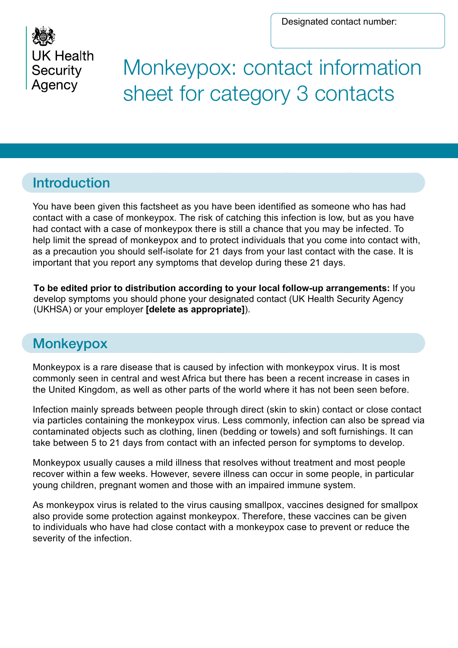Designated contact number:



Monkeypox: contact information sheet for category 3 contacts

# Introduction

You have been given this factsheet as you have been identified as someone who has had contact with a case of monkeypox. The risk of catching this infection is low, but as you have had contact with a case of monkeypox there is still a chance that you may be infected. To help limit the spread of monkeypox and to protect individuals that you come into contact with, as a precaution you should self-isolate for 21 days from your last contact with the case. It is important that you report any symptoms that develop during these 21 days.

**To be edited prior to distribution according to your local follow-up arrangements:** If you develop symptoms you should phone your designated contact (UK Health Security Agency (UKHSA) or your employer **[delete as appropriate]**).

# **Monkeypox**

Monkeypox is a rare disease that is caused by infection with monkeypox virus. It is most commonly seen in central and west Africa but there has been a recent increase in cases in the United Kingdom, as well as other parts of the world where it has not been seen before.

Infection mainly spreads between people through direct (skin to skin) contact or close contact via particles containing the monkeypox virus. Less commonly, infection can also be spread via contaminated objects such as clothing, linen (bedding or towels) and soft furnishings. It can take between 5 to 21 days from contact with an infected person for symptoms to develop.

Monkeypox usually causes a mild illness that resolves without treatment and most people recover within a few weeks. However, severe illness can occur in some people, in particular young children, pregnant women and those with an impaired immune system.

As monkeypox virus is related to the virus causing smallpox, vaccines designed for smallpox also provide some protection against monkeypox. Therefore, these vaccines can be given to individuals who have had close contact with a monkeypox case to prevent or reduce the severity of the infection.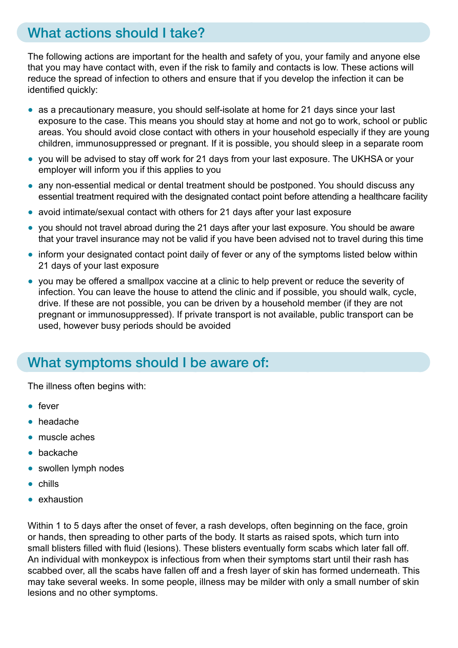# What actions should I take?

The following actions are important for the health and safety of you, your family and anyone else that you may have contact with, even if the risk to family and contacts is low. These actions will reduce the spread of infection to others and ensure that if you develop the infection it can be identified quickly:

- as a precautionary measure, you should self-isolate at home for 21 days since your last exposure to the case. This means you should stay at home and not go to work, school or public areas. You should avoid close contact with others in your household especially if they are young children, immunosuppressed or pregnant. If it is possible, you should sleep in a separate room
- you will be advised to stay off work for 21 days from your last exposure. The UKHSA or your employer will inform you if this applies to you
- any non-essential medical or dental treatment should be postponed. You should discuss any essential treatment required with the designated contact point before attending a healthcare facility
- avoid intimate/sexual contact with others for 21 days after your last exposure
- you should not travel abroad during the 21 days after your last exposure. You should be aware that your travel insurance may not be valid if you have been advised not to travel during this time
- inform your designated contact point daily of fever or any of the symptoms listed below within 21 days of your last exposure
- you may be offered a smallpox vaccine at a clinic to help prevent or reduce the severity of infection. You can leave the house to attend the clinic and if possible, you should walk, cycle, drive. If these are not possible, you can be driven by a household member (if they are not pregnant or immunosuppressed). If private transport is not available, public transport can be used, however busy periods should be avoided

# What symptoms should I be aware of:

The illness often begins with:

- fever
- headache
- muscle aches
- backache
- swollen lymph nodes
- chills
- exhaustion

Within 1 to 5 days after the onset of fever, a rash develops, often beginning on the face, groin or hands, then spreading to other parts of the body. It starts as raised spots, which turn into small blisters filled with fluid (lesions). These blisters eventually form scabs which later fall off. An individual with monkeypox is infectious from when their symptoms start until their rash has scabbed over, all the scabs have fallen off and a fresh layer of skin has formed underneath. This may take several weeks. In some people, illness may be milder with only a small number of skin lesions and no other symptoms.